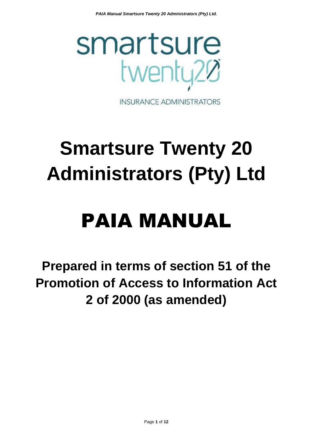

**INSURANCE ADMINISTRATORS** 

# **Smartsure Twenty 20 Administrators (Pty) Ltd**

## PAIA MANUAL

**Prepared in terms of section 51 of the Promotion of Access to Information Act 2 of 2000 (as amended)**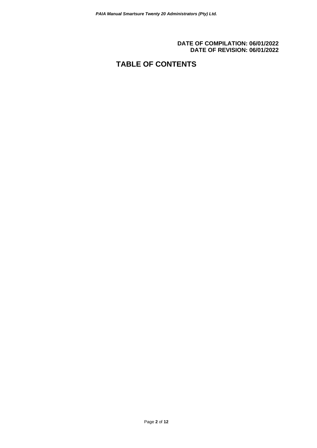#### **DATE OF COMPILATION: 06/01/2022 DATE OF REVISION: 06/01/2022**

## **TABLE OF CONTENTS**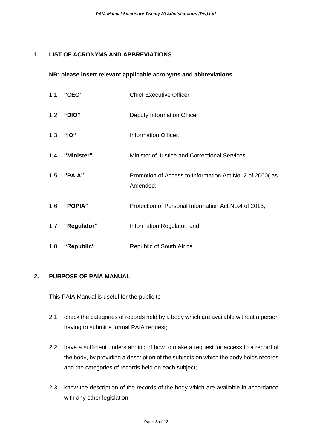## **1. LIST OF ACRONYMS AND ABBREVIATIONS**

#### **NB: please insert relevant applicable acronyms and abbreviations**

| 1.1 | "CEO"           | <b>Chief Executive Officer</b>                                      |
|-----|-----------------|---------------------------------------------------------------------|
|     | 1.2 "DIO"       | Deputy Information Officer;                                         |
|     | 1.3 "IO"        | Information Officer;                                                |
|     | 1.4 "Minister"  | Minister of Justice and Correctional Services;                      |
|     | 1.5 "PAIA"      | Promotion of Access to Information Act No. 2 of 2000(as<br>Amended; |
|     | 1.6 "POPIA"     | Protection of Personal Information Act No.4 of 2013;                |
|     | 1.7 "Regulator" | Information Regulator; and                                          |
| 1.8 | "Republic"      | Republic of South Africa                                            |

### **2. PURPOSE OF PAIA MANUAL**

This PAIA Manual is useful for the public to-

- 2.1 check the categories of records held by a body which are available without a person having to submit a formal PAIA request;
- 2.2 have a sufficient understanding of how to make a request for access to a record of the body, by providing a description of the subjects on which the body holds records and the categories of records held on each subject;
- 2.3 know the description of the records of the body which are available in accordance with any other legislation;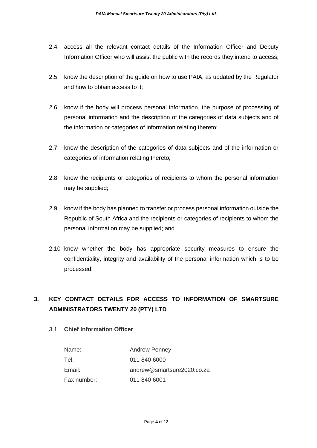- 2.4 access all the relevant contact details of the Information Officer and Deputy Information Officer who will assist the public with the records they intend to access;
- 2.5 know the description of the guide on how to use PAIA, as updated by the Regulator and how to obtain access to it;
- 2.6 know if the body will process personal information, the purpose of processing of personal information and the description of the categories of data subjects and of the information or categories of information relating thereto;
- 2.7 know the description of the categories of data subjects and of the information or categories of information relating thereto;
- 2.8 know the recipients or categories of recipients to whom the personal information may be supplied;
- 2.9 know if the body has planned to transfer or process personal information outside the Republic of South Africa and the recipients or categories of recipients to whom the personal information may be supplied; and
- 2.10 know whether the body has appropriate security measures to ensure the confidentiality, integrity and availability of the personal information which is to be processed.

## **3. KEY CONTACT DETAILS FOR ACCESS TO INFORMATION OF SMARTSURE ADMINISTRATORS TWENTY 20 (PTY) LTD**

## 3.1. **Chief Information Officer**

| Name:       | <b>Andrew Penney</b>       |
|-------------|----------------------------|
| Tel:        | 011 840 6000               |
| Email:      | andrew@smartsure2020.co.za |
| Fax number: | 011 840 6001               |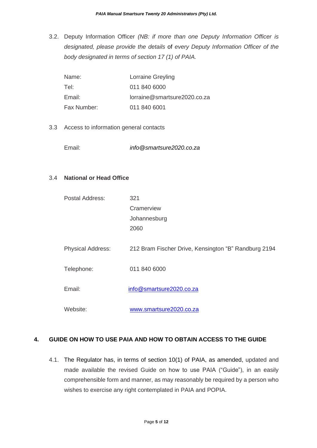3.2. Deputy Information Officer *(NB: if more than one Deputy Information Officer is designated, please provide the details* of *every Deputy Information Officer of the body designated in terms of section 17 (1) of PAIA.*

| Name:       | Lorraine Greyling            |
|-------------|------------------------------|
| Tel:        | 011 840 6000                 |
| Email:      | lorraine@smartsure2020.co.za |
| Fax Number: | 011 840 6001                 |

3.3 Access to information general contacts

Email: *info@smartsure2020.co.za*

#### 3.4 **National or Head Office**

| Postal Address:          | 321                                                  |
|--------------------------|------------------------------------------------------|
|                          | Cramerview                                           |
|                          | Johannesburg                                         |
|                          | 2060                                                 |
|                          |                                                      |
| <b>Physical Address:</b> | 212 Bram Fischer Drive, Kensington "B" Randburg 2194 |
|                          |                                                      |
| Telephone:               | 011 840 6000                                         |
|                          |                                                      |
| Email:                   | info@smartsure2020.co.za                             |
|                          |                                                      |
| Website:                 | www.smartsure2020.co.za                              |

### **4. GUIDE ON HOW TO USE PAIA AND HOW TO OBTAIN ACCESS TO THE GUIDE**

4.1. The Regulator has, in terms of section 10(1) of PAIA, as amended, updated and made available the revised Guide on how to use PAIA ("Guide"), in an easily comprehensible form and manner, as may reasonably be required by a person who wishes to exercise any right contemplated in PAIA and POPIA.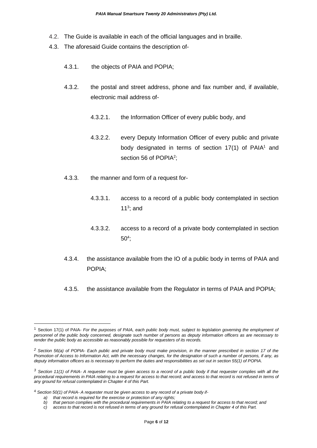- 4.2. The Guide is available in each of the official languages and in braille.
- 4.3. The aforesaid Guide contains the description of-
	- 4.3.1. the objects of PAIA and POPIA;
	- 4.3.2. the postal and street address, phone and fax number and, if available, electronic mail address of-
		- 4.3.2.1. the Information Officer of every public body, and
		- 4.3.2.2. every Deputy Information Officer of every public and private body designated in terms of section  $17(1)$  of PAIA<sup>1</sup> and section 56 of POPIA<sup>2</sup>;
	- 4.3.3. the manner and form of a request for-
		- 4.3.3.1. access to a record of a public body contemplated in section 11 $3$ ; and
		- 4.3.3.2. access to a record of a private body contemplated in section 50<sup>4</sup> ;
	- 4.3.4. the assistance available from the IO of a public body in terms of PAIA and POPIA;
	- 4.3.5. the assistance available from the Regulator in terms of PAIA and POPIA;

<sup>1</sup> Section 17(1) of PAIA- *For the purposes of PAIA, each public body must, subject to legislation governing the employment of personnel of the public body concerned, designate such number of persons as deputy information officers as are necessary to render the public body as accessible as reasonably possible for requesters of its records.*

*<sup>2</sup> Section 56(a) of POPIA- Each public and private body must make provision, in the manner prescribed in section 17 of the Promotion of Access to Information Act, with the necessary changes, for the designation of such a number of persons, if any, as deputy information officers as is necessary to perform the duties and responsibilities as set out in section 55(1) of POPIA.*

*<sup>3</sup> Section 11(1) of PAIA- A requester must be given access to a record of a public body if that requester complies with all the*  procedural requirements in PAIA relating to a request for access to that record; and access to that record is not refused in terms of *any ground for refusal contemplated in Chapter 4 of this Part.*

<sup>4</sup> *Section 50(1) of PAIA- A requester must be given access to any record of a private body if-*

*a) that record is required for the exercise or protection of any rights;*

*b) that person complies with the procedural requirements in PAIA relating to a request for access to that record; and*

*c) access to that record is not refused in terms of any ground for refusal contemplated in Chapter 4 of this Part.*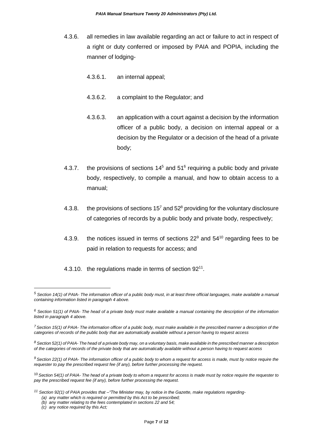- 4.3.6. all remedies in law available regarding an act or failure to act in respect of a right or duty conferred or imposed by PAIA and POPIA, including the manner of lodging-
	- 4.3.6.1. an internal appeal;
	- 4.3.6.2. a complaint to the Regulator; and
	- 4.3.6.3. an application with a court against a decision by the information officer of a public body, a decision on internal appeal or a decision by the Regulator or a decision of the head of a private body;
- 4.3.7. the provisions of sections  $14<sup>5</sup>$  and  $51<sup>6</sup>$  requiring a public body and private body, respectively, to compile a manual, and how to obtain access to a manual;
- 4.3.8. the provisions of sections  $15<sup>7</sup>$  and  $52<sup>8</sup>$  providing for the voluntary disclosure of categories of records by a public body and private body, respectively;
- 4.3.9. the notices issued in terms of sections  $22^9$  and  $54^{10}$  regarding fees to be paid in relation to requests for access; and
- 4.3.10. the regulations made in terms of section 92<sup>11</sup>.

<sup>10</sup> *Section 54(1) of PAIA- The head of a private body to whom a request for access is made must by notice require the requester to pay the prescribed request fee (if any), before further processing the request.*

- *<sup>11</sup> Section 92(1) of PAIA provides that –"The Minister may, by notice in the Gazette, make regulations regarding- (a) any matter which is required or permitted by this Act to be prescribed;*
	- *(b) any matter relating to the fees contemplated in sections 22 and 54;*
	- *(c) any notice required by this Act;*

*<sup>5</sup> Section 14(1) of PAIA- The information officer of a public body must, in at least three official languages, make available a manual containing information listed in paragraph 4 above.*

*<sup>6</sup> Section 51(1) of PAIA- The head of a private body must make available a manual containing the description of the information listed in paragraph 4 above.*

*<sup>7</sup>Section 15(1) of PAIA- The information officer of a public body, must make available in the prescribed manner a description of the categories of records of the public body that are automatically available without a person having to request access*

*<sup>8</sup> Section 52(1) of PAIA- The head of a private body may, on a voluntary basis, make available in the prescribed manner a description of the categories of records of the private body that are automatically available without a person having to request access*

*<sup>9</sup> Section 22(1) of PAIA- The information officer of a public body to whom a request for access is made, must by notice require the requester to pay the prescribed request fee (if any), before further processing the request.*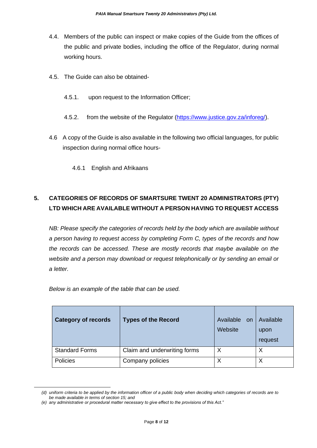- 4.4. Members of the public can inspect or make copies of the Guide from the offices of the public and private bodies, including the office of the Regulator, during normal working hours.
- 4.5. The Guide can also be obtained-
	- 4.5.1. upon request to the Information Officer;
	- 4.5.2. from the website of the Regulator [\(https://www.justice.gov.za/inforeg/\)](https://www.justice.gov.za/inforeg/).
- 4.6 A copy of the Guide is also available in the following two official languages, for public inspection during normal office hours-
	- 4.6.1 English and Afrikaans

## **5. CATEGORIES OF RECORDS OF SMARTSURE TWENT 20 ADMINISTRATORS (PTY) LTD WHICH ARE AVAILABLE WITHOUT A PERSON HAVING TO REQUEST ACCESS**

*NB: Please specify the categories of records held by the body which are available without a person having to request access by completing Form C, types of the records and how the records can be accessed. These are mostly records that maybe available on the website and a person may download or request telephonically or by sending an email or a letter.* 

| <b>Category of records</b> | <b>Types of the Record</b>   | Available<br>on<br>Website | Available<br>upon<br>request |
|----------------------------|------------------------------|----------------------------|------------------------------|
| <b>Standard Forms</b>      | Claim and underwriting forms | Х                          | X                            |
| Policies                   | Company policies             | Χ                          | Χ                            |

*Below is an example of the table that can be used.*

*<sup>(</sup>d) uniform criteria to be applied by the information officer of a public body when deciding which categories of records are to be made available in terms of section 15; and*

*<sup>(</sup>e) any administrative or procedural matter necessary to give effect to the provisions of this Act."*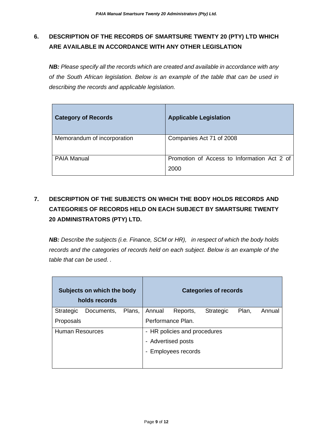## **6. DESCRIPTION OF THE RECORDS OF SMARTSURE TWENTY 20 (PTY) LTD WHICH ARE AVAILABLE IN ACCORDANCE WITH ANY OTHER LEGISLATION**

*NB: Please specify all the records which are created and available in accordance with any of the South African legislation. Below is an example of the table that can be used in describing the records and applicable legislation.*

| <b>Category of Records</b>  | <b>Applicable Legislation</b>                       |
|-----------------------------|-----------------------------------------------------|
| Memorandum of incorporation | Companies Act 71 of 2008                            |
| <b>PAIA Manual</b>          | Promotion of Access to Information Act 2 of<br>2000 |

## **7. DESCRIPTION OF THE SUBJECTS ON WHICH THE BODY HOLDS RECORDS AND CATEGORIES OF RECORDS HELD ON EACH SUBJECT BY SMARTSURE TWENTY 20 ADMINISTRATORS (PTY) LTD.**

*NB: Describe the subjects (i.e. Finance, SCM or HR), in respect of which the body holds records and the categories of records held on each subject. Below is an example of the table that can be used. .*

| Subjects on which the body<br>holds records |            |        |                              |                          | <b>Categories of records</b> |       |        |
|---------------------------------------------|------------|--------|------------------------------|--------------------------|------------------------------|-------|--------|
| <b>Strategic</b>                            | Documents, | Plans, | Annual                       | Reports,                 | Strategic                    | Plan, | Annual |
| Proposals                                   |            |        |                              | Performance Plan.        |                              |       |        |
| <b>Human Resources</b>                      |            |        | - HR policies and procedures |                          |                              |       |        |
|                                             |            |        |                              | - Advertised posts       |                              |       |        |
|                                             |            |        | $\overline{\phantom{a}}$     | <b>Employees records</b> |                              |       |        |
|                                             |            |        |                              |                          |                              |       |        |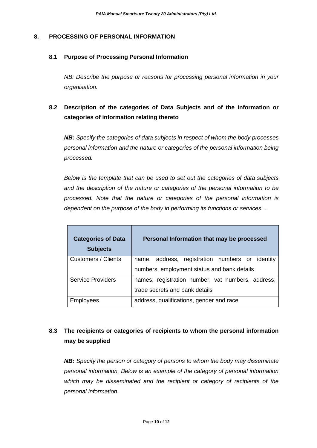#### **8. PROCESSING OF PERSONAL INFORMATION**

#### **8.1 Purpose of Processing Personal Information**

*NB: Describe the purpose or reasons for processing personal information in your organisation.*

## **8.2 Description of the categories of Data Subjects and of the information or categories of information relating thereto**

*NB: Specify the categories of data subjects in respect of whom the body processes personal information and the nature or categories of the personal information being processed.* 

*Below is the template that can be used to set out the categories of data subjects and the description of the nature or categories of the personal information to be processed. Note that the nature or categories of the personal information is dependent on the purpose of the body in performing its functions or services. .* 

| <b>Categories of Data</b><br><b>Subjects</b>                                  | Personal Information that may be processed      |
|-------------------------------------------------------------------------------|-------------------------------------------------|
| Customers / Clients                                                           | name, address, registration numbers or identity |
|                                                                               | numbers, employment status and bank details     |
| <b>Service Providers</b><br>names, registration number, vat numbers, address, |                                                 |
|                                                                               | trade secrets and bank details                  |
| Employees                                                                     | address, qualifications, gender and race        |

## **8.3 The recipients or categories of recipients to whom the personal information may be supplied**

*NB: Specify the person or category of persons to whom the body may disseminate personal information. Below is an example of the category of personal information which may be disseminated and the recipient or category of recipients of the personal information.*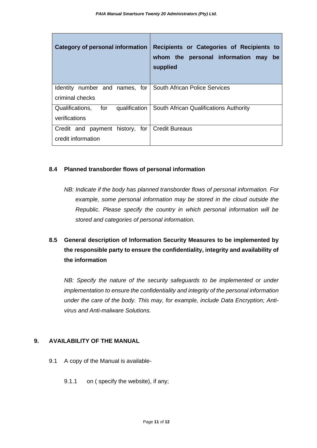| <b>Category of personal information</b>          | Recipients or Categories of Recipients to<br>whom the personal information may<br>be<br>supplied |
|--------------------------------------------------|--------------------------------------------------------------------------------------------------|
| Identity number and names, for                   | <b>South African Police Services</b>                                                             |
| criminal checks                                  |                                                                                                  |
| for<br>Qualifications,<br>qualification          | South African Qualifications Authority                                                           |
| verifications                                    |                                                                                                  |
| Credit and payment history, for   Credit Bureaus |                                                                                                  |
| credit information                               |                                                                                                  |

#### **8.4 Planned transborder flows of personal information**

*NB: Indicate if the body has planned transborder flows of personal information. For example, some personal information may be stored in the cloud outside the Republic. Please specify the country in which personal information will be stored and categories of personal information.* 

## **8.5 General description of Information Security Measures to be implemented by the responsible party to ensure the confidentiality, integrity and availability of the information**

*NB: Specify the nature of the security safeguards to be implemented or under implementation to ensure the confidentiality and integrity of the personal information under the care of the body. This may, for example, include Data Encryption; Antivirus and Anti-malware Solutions.*

### **9. AVAILABILITY OF THE MANUAL**

- 9.1 A copy of the Manual is available-
	- 9.1.1 on ( specify the website), if any;